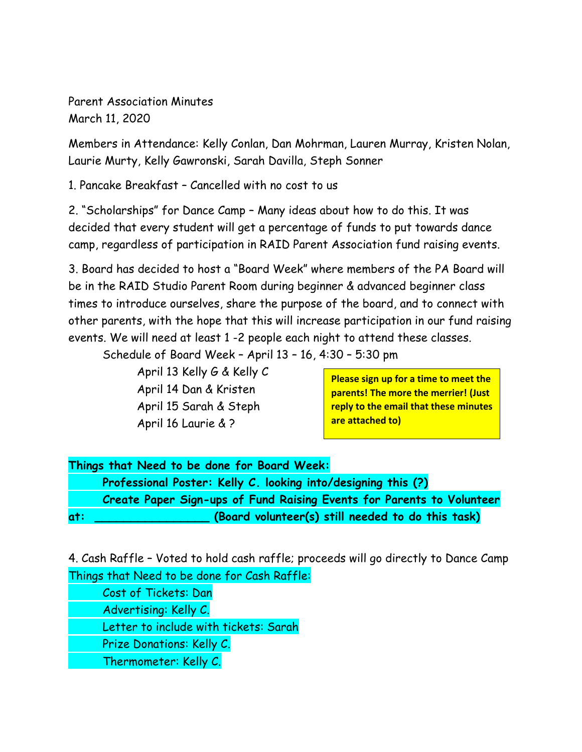Parent Association Minutes March 11, 2020

Members in Attendance: Kelly Conlan, Dan Mohrman, Lauren Murray, Kristen Nolan, Laurie Murty, Kelly Gawronski, Sarah Davilla, Steph Sonner

1. Pancake Breakfast – Cancelled with no cost to us

2. "Scholarships" for Dance Camp – Many ideas about how to do this. It was decided that every student will get a percentage of funds to put towards dance camp, regardless of participation in RAID Parent Association fund raising events.

3. Board has decided to host a "Board Week" where members of the PA Board will be in the RAID Studio Parent Room during beginner & advanced beginner class times to introduce ourselves, share the purpose of the board, and to connect with other parents, with the hope that this will increase participation in our fund raising events. We will need at least 1 -2 people each night to attend these classes.

Schedule of Board Week – April 13 – 16, 4:30 – 5:30 pm

April 13 Kelly G & Kelly C April 14 Dan & Kristen April 15 Sarah & Steph April 16 Laurie & ?

**Please sign up for a time to meet the parents! The more the merrier! (Just reply to the email that these minutes are attached to)**

|     | Things that Need to be done for Board Week:                           |
|-----|-----------------------------------------------------------------------|
|     | Professional Poster: Kelly C. looking into/designing this (?)         |
|     | Create Paper Sign-ups of Fund Raising Events for Parents to Volunteer |
| at: | (Board volunteer(s) still needed to do this task)                     |

4. Cash Raffle – Voted to hold cash raffle; proceeds will go directly to Dance Camp Things that Need to be done for Cash Raffle:

Cost of Tickets: Dan Advertising: Kelly C. Letter to include with tickets: Sarah Prize Donations: Kelly C. Thermometer: Kelly C.